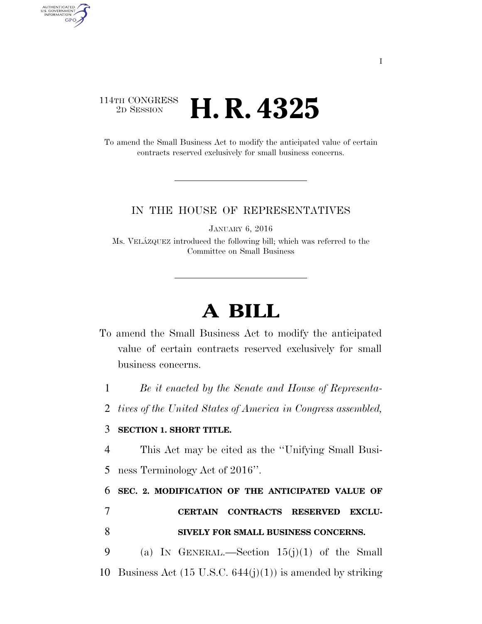## 114TH CONGRESS <sup>2D SESSION</sup> **H. R. 4325**

AUTHENTICATED<br>U.S. GOVERNMENT<br>INFORMATION **GPO** 

> To amend the Small Business Act to modify the anticipated value of certain contracts reserved exclusively for small business concerns.

## IN THE HOUSE OF REPRESENTATIVES

JANUARY 6, 2016

Ms. VELA´ZQUEZ introduced the following bill; which was referred to the Committee on Small Business

## **A BILL**

To amend the Small Business Act to modify the anticipated value of certain contracts reserved exclusively for small business concerns.

1 *Be it enacted by the Senate and House of Representa-*

2 *tives of the United States of America in Congress assembled,* 

## 3 **SECTION 1. SHORT TITLE.**

4 This Act may be cited as the ''Unifying Small Busi-

5 ness Terminology Act of 2016''.

6 **SEC. 2. MODIFICATION OF THE ANTICIPATED VALUE OF** 

7 **CERTAIN CONTRACTS RESERVED EXCLU-**8 **SIVELY FOR SMALL BUSINESS CONCERNS.** 

9 (a) IN GENERAL.—Section 15(j)(1) of the Small 10 Business Act  $(15 \text{ U.S.C. } 644(j)(1))$  is amended by striking